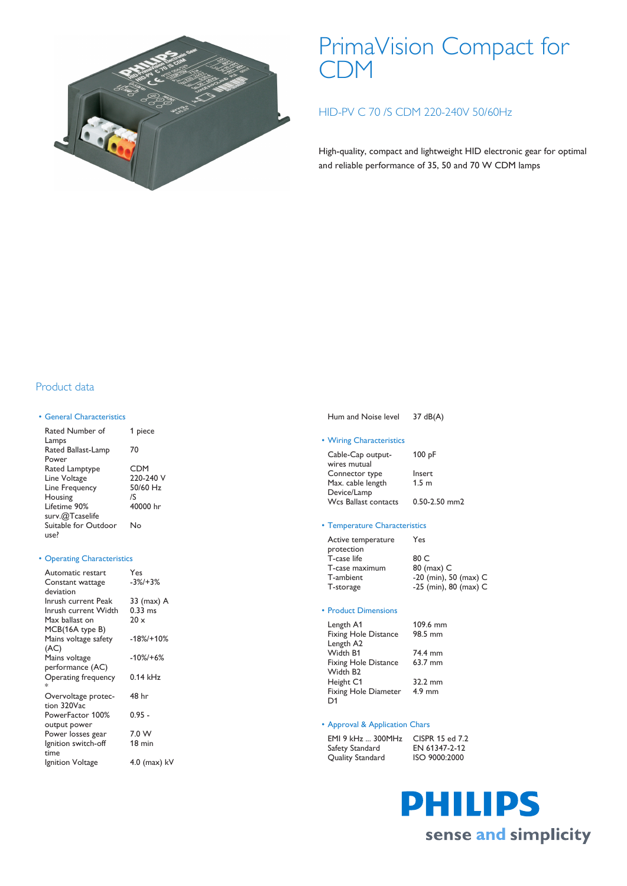

# PrimaVision Compact for CDM

# HID-PV C 70 /S CDM 220-240V 50/60Hz

High-quality, compact and lightweight HID electronic gear for optimal and reliable performance of 35, 50 and 70 W CDM lamps

## Product data

#### • General Characteristics

Rated Number of Lamps 1 piece Rated Ballast-Lamp Power 70 Rated Lamptype CDM<br>
Line Voltage 220-240 V Line Voltage 220-240 Line Frequency Housing /S Lifetime 90% surv.@Tcaselife 40000 hr Suitable for Outdoor use? No

### • Operating Characteristics

| Automatic restart    | Yes              |
|----------------------|------------------|
| Constant wattage     | $-3\%/+3\%$      |
| deviation            |                  |
| Inrush current Peak  | 33 (max) A       |
| Inrush current Width | $0.33$ ms        |
| Max ballast on       | $20 \times$      |
| MCB(16A type B)      |                  |
| Mains voltage safety | $-18\% + 10\%$   |
| (AC)                 |                  |
| Mains voltage        | $-10\% + 6\%$    |
| performance (AC)     |                  |
| Operating frequency  | $0.14$ kHz       |
| $\ast$               |                  |
| Overvoltage protec-  | 48 hr            |
| tion 320Vac          |                  |
| PowerFactor 100%     | 0.95 -           |
| output power         |                  |
| Power losses gear    | 7.0 W            |
| Ignition switch-off  | $18 \text{ min}$ |
| time                 |                  |
| Ignition Voltage     | 4.0 (max) kV     |

| Hum and Noise level | $37 \text{ dB}(A)$ |
|---------------------|--------------------|
|                     |                    |

#### • Wiring Characteristics

| 100pF             |
|-------------------|
|                   |
| Insert            |
| 1.5 <sub>m</sub>  |
|                   |
| $0.50 - 2.50$ mm2 |
|                   |

#### • Temperature Characteristics

| Active temperature | Yes                     |
|--------------------|-------------------------|
| protection         |                         |
| T-case life        | 80 C                    |
| T-case maximum     | 80 (max) C              |
| T-ambient          | $-20$ (min), 50 (max) C |
| T-storage          | -25 (min), 80 (max) C   |
|                    |                         |

#### • Product Dimensions

| Length A1                   | 109.6 mm |
|-----------------------------|----------|
| Fixing Hole Distance        | 98.5 mm  |
| Length A2                   |          |
| Width R1                    | 74.4 mm  |
| <b>Fixing Hole Distance</b> | 63.7 mm  |
| Width B <sub>2</sub>        |          |
| Height C1                   | 32.2 mm  |
| Fixing Hole Diameter        | $4.9$ mm |
| D <sub>1</sub>              |          |

#### • Approval & Application Chars

EMI 9 kHz ... 300MHz CISPR 15 ed 7.2<br>Safety Standard EN 61347-2-12 Safety Standard EN 61347-2-12<br>
Quality Standard ISO 9000:2000 Quality Standard

# **PHILIPS** sense and simplicity